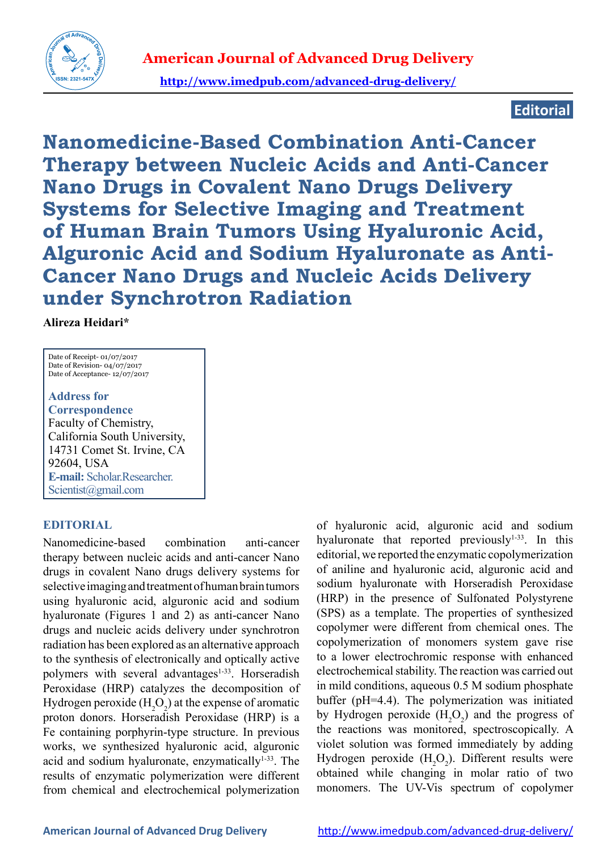

**http://www.imedpub.com/advanced-drug-delivery/**

## **Editorial**

**Nanomedicine-Based Combination Anti-Cancer Therapy between Nucleic Acids and Anti-Cancer Nano Drugs in Covalent Nano Drugs Delivery Systems for Selective Imaging and Treatment of Human Brain Tumors Using Hyaluronic Acid, Alguronic Acid and Sodium Hyaluronate as Anti-Cancer Nano Drugs and Nucleic Acids Delivery under Synchrotron Radiation**

**Alireza Heidari\***

Date of Receipt- 01/07/2017 Date of Revision- 04/07/2017 Date of Acceptance- 12/07/2017

**Address for Correspondence** Faculty of Chemistry, California South University, 14731 Comet St. Irvine, CA 92604, USA **E-mail:** Scholar.Researcher. Scientist@gmail.com

## **EDITORIAL**

Nanomedicine-based combination anti-cancer therapy between nucleic acids and anti-cancer Nano drugs in covalent Nano drugs delivery systems for selective imaging and treatment of human brain tumors using hyaluronic acid, alguronic acid and sodium hyaluronate (Figures 1 and 2) as anti-cancer Nano drugs and nucleic acids delivery under synchrotron radiation has been explored as an alternative approach to the synthesis of electronically and optically active polymers with several advantages<sup>1-33</sup>. Horseradish Peroxidase (HRP) catalyzes the decomposition of Hydrogen peroxide  $(H_2O_2)$  at the expense of aromatic proton donors. Horseradish Peroxidase (HRP) is a Fe containing porphyrin-type structure. In previous works, we synthesized hyaluronic acid, alguronic acid and sodium hyaluronate, enzymatically<sup>1-33</sup>. The results of enzymatic polymerization were different from chemical and electrochemical polymerization

of hyaluronic acid, alguronic acid and sodium hyaluronate that reported previously $1-33$ . In this editorial, we reported the enzymatic copolymerization of aniline and hyaluronic acid, alguronic acid and sodium hyaluronate with Horseradish Peroxidase (HRP) in the presence of Sulfonated Polystyrene (SPS) as a template. The properties of synthesized copolymer were different from chemical ones. The copolymerization of monomers system gave rise to a lower electrochromic response with enhanced electrochemical stability. The reaction was carried out in mild conditions, aqueous 0.5 M sodium phosphate buffer (pH=4.4). The polymerization was initiated by Hydrogen peroxide  $(H_2O_2)$  and the progress of the reactions was monitored, spectroscopically. A violet solution was formed immediately by adding Hydrogen peroxide  $(H_2O_2)$ . Different results were obtained while changing in molar ratio of two monomers. The UV-Vis spectrum of copolymer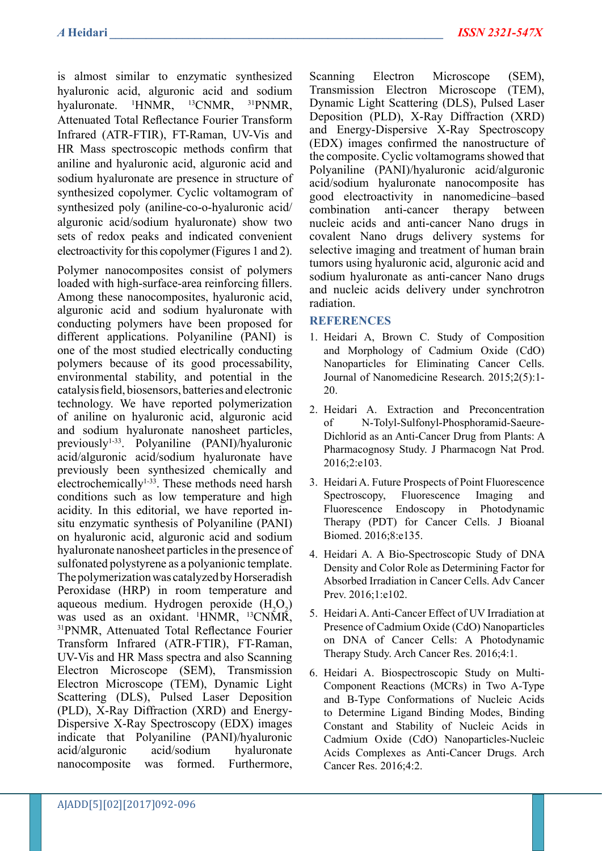is almost similar to enzymatic synthesized hyaluronic acid, alguronic acid and sodium hyaluronate. 1 <sup>1</sup>HNMR, <sup>13</sup>CNMR, <sup>31</sup>PNMR, Attenuated Total Reflectance Fourier Transform Infrared (ATR-FTIR), FT-Raman, UV-Vis and HR Mass spectroscopic methods confirm that aniline and hyaluronic acid, alguronic acid and sodium hyaluronate are presence in structure of synthesized copolymer. Cyclic voltamogram of synthesized poly (aniline-co-o-hyaluronic acid/ alguronic acid/sodium hyaluronate) show two sets of redox peaks and indicated convenient electroactivity for this copolymer (Figures 1 and 2).

Polymer nanocomposites consist of polymers loaded with high-surface-area reinforcing fillers. Among these nanocomposites, hyaluronic acid, alguronic acid and sodium hyaluronate with conducting polymers have been proposed for different applications. Polyaniline (PANI) is one of the most studied electrically conducting polymers because of its good processability, environmental stability, and potential in the catalysis field, biosensors, batteries and electronic technology. We have reported polymerization of aniline on hyaluronic acid, alguronic acid and sodium hyaluronate nanosheet particles, previously1-33. Polyaniline (PANI)/hyaluronic acid/alguronic acid/sodium hyaluronate have previously been synthesized chemically and electrochemically<sup>1-33</sup>. These methods need harsh conditions such as low temperature and high acidity. In this editorial, we have reported insitu enzymatic synthesis of Polyaniline (PANI) on hyaluronic acid, alguronic acid and sodium hyaluronate nanosheet particles in the presence of sulfonated polystyrene as a polyanionic template. The polymerization was catalyzed by Horseradish Peroxidase (HRP) in room temperature and aqueous medium. Hydrogen peroxide  $(H_2O_2)$ was used as an oxidant. 1 HNMR, 13CNMR, <sup>31</sup>PNMR, Attenuated Total Reflectance Fourier Transform Infrared (ATR-FTIR), FT-Raman, UV-Vis and HR Mass spectra and also Scanning Electron Microscope (SEM), Transmission Electron Microscope (TEM), Dynamic Light Scattering (DLS), Pulsed Laser Deposition (PLD), X-Ray Diffraction (XRD) and Energy-Dispersive X-Ray Spectroscopy (EDX) images indicate that Polyaniline (PANI)/hyaluronic acid/alguronic acid/sodium hyaluronate nanocomposite was formed. Furthermore,

Scanning Electron Microscope (SEM), Transmission Electron Microscope (TEM), Dynamic Light Scattering (DLS), Pulsed Laser Deposition (PLD), X-Ray Diffraction (XRD) and Energy-Dispersive X-Ray Spectroscopy (EDX) images confirmed the nanostructure of the composite. Cyclic voltamograms showed that Polyaniline (PANI)/hyaluronic acid/alguronic acid/sodium hyaluronate nanocomposite has good electroactivity in nanomedicine–based combination anti-cancer therapy between nucleic acids and anti-cancer Nano drugs in covalent Nano drugs delivery systems for selective imaging and treatment of human brain tumors using hyaluronic acid, alguronic acid and sodium hyaluronate as anti-cancer Nano drugs and nucleic acids delivery under synchrotron radiation.

## **REFERENCES**

- 1. Heidari A, Brown C. Study of Composition and Morphology of Cadmium Oxide (CdO) Nanoparticles for Eliminating Cancer Cells. Journal of Nanomedicine Research. 2015;2(5):1- 20.
- 2. Heidari A. Extraction and Preconcentration of N-Tolyl-Sulfonyl-Phosphoramid-Saeure-Dichlorid as an Anti-Cancer Drug from Plants: A Pharmacognosy Study. J Pharmacogn Nat Prod. 2016;2:e103.
- 3. Heidari A. Future Prospects of Point Fluorescence Spectroscopy, Fluorescence Imaging and Fluorescence Endoscopy in Photodynamic Therapy (PDT) for Cancer Cells. J Bioanal Biomed. 2016;8:e135.
- 4. Heidari A. A Bio-Spectroscopic Study of DNA Density and Color Role as Determining Factor for Absorbed Irradiation in Cancer Cells. Adv Cancer Prev.  $2016:1:e102$ .
- 5. Heidari A. Anti-Cancer Effect of UV Irradiation at Presence of Cadmium Oxide (CdO) Nanoparticles on DNA of Cancer Cells: A Photodynamic Therapy Study. Arch Cancer Res. 2016;4:1.
- 6. Heidari A. Biospectroscopic Study on Multi-Component Reactions (MCRs) in Two A-Type and B-Type Conformations of Nucleic Acids to Determine Ligand Binding Modes, Binding Constant and Stability of Nucleic Acids in Cadmium Oxide (CdO) Nanoparticles-Nucleic Acids Complexes as Anti-Cancer Drugs. Arch Cancer Res. 2016;4:2.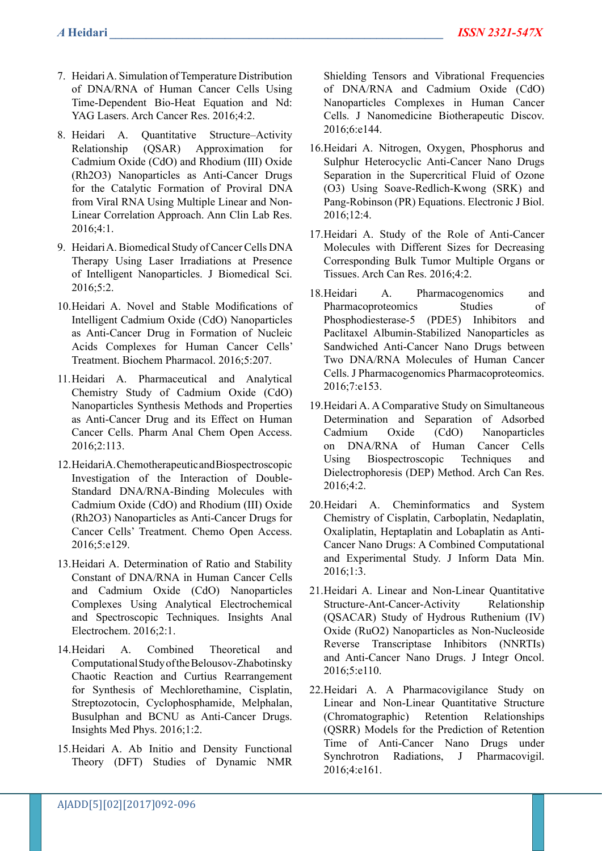- 7. Heidari A. Simulation of Temperature Distribution of DNA/RNA of Human Cancer Cells Using Time-Dependent Bio-Heat Equation and Nd: YAG Lasers. Arch Cancer Res. 2016;4:2.
- 8. Heidari A. Quantitative Structure–Activity Relationship (QSAR) Approximation for Cadmium Oxide (CdO) and Rhodium (III) Oxide (Rh2O3) Nanoparticles as Anti-Cancer Drugs for the Catalytic Formation of Proviral DNA from Viral RNA Using Multiple Linear and Non-Linear Correlation Approach. Ann Clin Lab Res. 2016;4:1.
- 9. Heidari A. Biomedical Study of Cancer Cells DNA Therapy Using Laser Irradiations at Presence of Intelligent Nanoparticles. J Biomedical Sci. 2016;5:2.
- 10.Heidari A. Novel and Stable Modifications of Intelligent Cadmium Oxide (CdO) Nanoparticles as Anti-Cancer Drug in Formation of Nucleic Acids Complexes for Human Cancer Cells' Treatment. Biochem Pharmacol. 2016;5:207.
- 11.Heidari A. Pharmaceutical and Analytical Chemistry Study of Cadmium Oxide (CdO) Nanoparticles Synthesis Methods and Properties as Anti-Cancer Drug and its Effect on Human Cancer Cells. Pharm Anal Chem Open Access. 2016;2:113.
- 12.Heidari A. Chemotherapeutic and Biospectroscopic Investigation of the Interaction of Double-Standard DNA/RNA-Binding Molecules with Cadmium Oxide (CdO) and Rhodium (III) Oxide (Rh2O3) Nanoparticles as Anti-Cancer Drugs for Cancer Cells' Treatment. Chemo Open Access. 2016;5:e129.
- 13.Heidari A. Determination of Ratio and Stability Constant of DNA/RNA in Human Cancer Cells and Cadmium Oxide (CdO) Nanoparticles Complexes Using Analytical Electrochemical and Spectroscopic Techniques. Insights Anal Electrochem. 2016;2:1.
- 14.Heidari A. Combined Theoretical and Computational Study of the Belousov-Zhabotinsky Chaotic Reaction and Curtius Rearrangement for Synthesis of Mechlorethamine, Cisplatin, Streptozotocin, Cyclophosphamide, Melphalan, Busulphan and BCNU as Anti-Cancer Drugs. Insights Med Phys. 2016;1:2.
- 15.Heidari A. Ab Initio and Density Functional Theory (DFT) Studies of Dynamic NMR

Shielding Tensors and Vibrational Frequencies of DNA/RNA and Cadmium Oxide (CdO) Nanoparticles Complexes in Human Cancer Cells. J Nanomedicine Biotherapeutic Discov. 2016;6:e144.

- 16.Heidari A. Nitrogen, Oxygen, Phosphorus and Sulphur Heterocyclic Anti-Cancer Nano Drugs Separation in the Supercritical Fluid of Ozone (O3) Using Soave-Redlich-Kwong (SRK) and Pang-Robinson (PR) Equations. Electronic J Biol. 2016;12:4.
- 17.Heidari A. Study of the Role of Anti-Cancer Molecules with Different Sizes for Decreasing Corresponding Bulk Tumor Multiple Organs or Tissues. Arch Can Res. 2016;4:2.
- 18.Heidari A. Pharmacogenomics and Pharmacoproteomics Studies of Phosphodiesterase-5 (PDE5) Inhibitors and Paclitaxel Albumin-Stabilized Nanoparticles as Sandwiched Anti-Cancer Nano Drugs between Two DNA/RNA Molecules of Human Cancer Cells. J Pharmacogenomics Pharmacoproteomics. 2016;7:e153.
- 19.Heidari A. A Comparative Study on Simultaneous Determination and Separation of Adsorbed Cadmium Oxide (CdO) Nanoparticles on DNA/RNA of Human Cancer Cells Using Biospectroscopic Techniques and Dielectrophoresis (DEP) Method. Arch Can Res. 2016;4:2.
- 20.Heidari A. Cheminformatics and System Chemistry of Cisplatin, Carboplatin, Nedaplatin, Oxaliplatin, Heptaplatin and Lobaplatin as Anti-Cancer Nano Drugs: A Combined Computational and Experimental Study. J Inform Data Min. 2016;1:3.
- 21.Heidari A. Linear and Non-Linear Quantitative Structure-Ant-Cancer-Activity Relationship (QSACAR) Study of Hydrous Ruthenium (IV) Oxide (RuO2) Nanoparticles as Non-Nucleoside Reverse Transcriptase Inhibitors (NNRTIs) and Anti-Cancer Nano Drugs. J Integr Oncol. 2016;5:e110.
- 22.Heidari A. A Pharmacovigilance Study on Linear and Non-Linear Quantitative Structure (Chromatographic) Retention Relationships (QSRR) Models for the Prediction of Retention Time of Anti-Cancer Nano Drugs under Synchrotron Radiations, J Pharmacovigil. 2016;4:e161.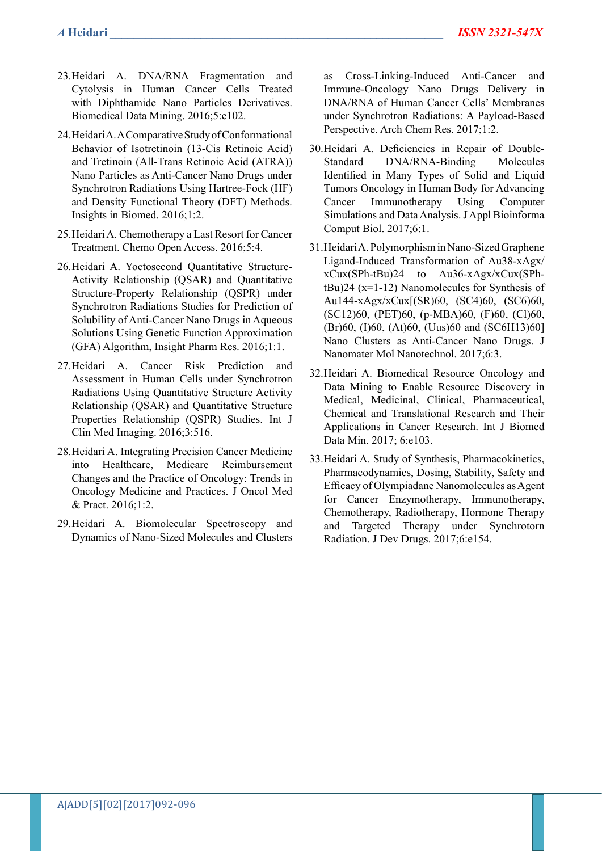- 23.Heidari A. DNA/RNA Fragmentation and Cytolysis in Human Cancer Cells Treated with Diphthamide Nano Particles Derivatives. Biomedical Data Mining. 2016;5:e102.
- 24.Heidari A. A Comparative Study of Conformational Behavior of Isotretinoin (13-Cis Retinoic Acid) and Tretinoin (All-Trans Retinoic Acid (ATRA)) Nano Particles as Anti-Cancer Nano Drugs under Synchrotron Radiations Using Hartree-Fock (HF) and Density Functional Theory (DFT) Methods. Insights in Biomed. 2016;1:2.
- 25.Heidari A. Chemotherapy a Last Resort for Cancer Treatment. Chemo Open Access. 2016;5:4.
- 26.Heidari A. Yoctosecond Quantitative Structure-Activity Relationship (QSAR) and Quantitative Structure-Property Relationship (QSPR) under Synchrotron Radiations Studies for Prediction of Solubility of Anti-Cancer Nano Drugs in Aqueous Solutions Using Genetic Function Approximation (GFA) Algorithm, Insight Pharm Res. 2016;1:1.
- 27. Heidari A. Cancer Risk Prediction and Assessment in Human Cells under Synchrotron Radiations Using Quantitative Structure Activity Relationship (QSAR) and Quantitative Structure Properties Relationship (QSPR) Studies. Int J Clin Med Imaging. 2016;3:516.
- 28.Heidari A. Integrating Precision Cancer Medicine into Healthcare, Medicare Reimbursement Changes and the Practice of Oncology: Trends in Oncology Medicine and Practices. J Oncol Med & Pract. 2016;1:2.
- 29.Heidari A. Biomolecular Spectroscopy and Dynamics of Nano-Sized Molecules and Clusters

as Cross-Linking-Induced Anti-Cancer and Immune-Oncology Nano Drugs Delivery in DNA/RNA of Human Cancer Cells' Membranes under Synchrotron Radiations: A Payload-Based Perspective. Arch Chem Res. 2017;1:2.

- 30.Heidari A. Deficiencies in Repair of Double-Standard DNA/RNA-Binding Molecules Identified in Many Types of Solid and Liquid Tumors Oncology in Human Body for Advancing Cancer Immunotherapy Using Computer Simulations and Data Analysis. J Appl Bioinforma Comput Biol. 2017;6:1.
- 31.Heidari A. Polymorphism in Nano-Sized Graphene Ligand-Induced Transformation of Au38-xAgx/ xCux(SPh-tBu)24 to Au36-xAgx/xCux(SPhtBu)24 (x=1-12) Nanomolecules for Synthesis of Au144-xAgx/xCux[(SR)60, (SC4)60, (SC6)60, (SC12)60, (PET)60, (p-MBA)60, (F)60, (Cl)60, (Br)60, (I)60, (At)60, (Uus)60 and (SC6H13)60] Nano Clusters as Anti-Cancer Nano Drugs. J Nanomater Mol Nanotechnol. 2017;6:3.
- 32.Heidari A. Biomedical Resource Oncology and Data Mining to Enable Resource Discovery in Medical, Medicinal, Clinical, Pharmaceutical, Chemical and Translational Research and Their Applications in Cancer Research. Int J Biomed Data Min. 2017; 6:e103.
- 33.Heidari A. Study of Synthesis, Pharmacokinetics, Pharmacodynamics, Dosing, Stability, Safety and Efficacy of Olympiadane Nanomolecules as Agent for Cancer Enzymotherapy, Immunotherapy, Chemotherapy, Radiotherapy, Hormone Therapy and Targeted Therapy under Synchrotorn Radiation. J Dev Drugs. 2017;6:e154.